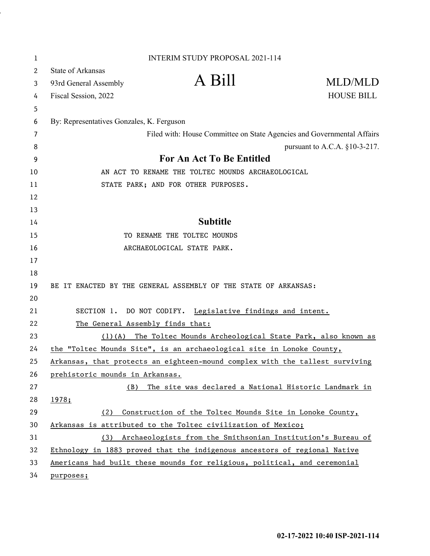| 1  |                                                                 | <b>INTERIM STUDY PROPOSAL 2021-114</b>                                       |                                  |  |  |  |
|----|-----------------------------------------------------------------|------------------------------------------------------------------------------|----------------------------------|--|--|--|
| 2  | State of Arkansas                                               |                                                                              |                                  |  |  |  |
| 3  | 93rd General Assembly                                           | A Bill                                                                       | MLD/MLD                          |  |  |  |
| 4  | Fiscal Session, 2022                                            |                                                                              | <b>HOUSE BILL</b>                |  |  |  |
| 5  |                                                                 |                                                                              |                                  |  |  |  |
| 6  | By: Representatives Gonzales, K. Ferguson                       |                                                                              |                                  |  |  |  |
| 7  |                                                                 | Filed with: House Committee on State Agencies and Governmental Affairs       |                                  |  |  |  |
| 8  |                                                                 |                                                                              | pursuant to A.C.A. $§10-3-217$ . |  |  |  |
| 9  | <b>For An Act To Be Entitled</b>                                |                                                                              |                                  |  |  |  |
| 10 | AN ACT TO RENAME THE TOLTEC MOUNDS ARCHAEOLOGICAL               |                                                                              |                                  |  |  |  |
| 11 |                                                                 | STATE PARK; AND FOR OTHER PURPOSES.                                          |                                  |  |  |  |
| 12 |                                                                 |                                                                              |                                  |  |  |  |
| 13 |                                                                 |                                                                              |                                  |  |  |  |
| 14 |                                                                 | <b>Subtitle</b>                                                              |                                  |  |  |  |
| 15 | TO RENAME THE TOLTEC MOUNDS                                     |                                                                              |                                  |  |  |  |
| 16 |                                                                 | ARCHAEOLOGICAL STATE PARK.                                                   |                                  |  |  |  |
| 17 |                                                                 |                                                                              |                                  |  |  |  |
| 18 |                                                                 |                                                                              |                                  |  |  |  |
| 19 | BE IT ENACTED BY THE GENERAL ASSEMBLY OF THE STATE OF ARKANSAS: |                                                                              |                                  |  |  |  |
| 20 |                                                                 |                                                                              |                                  |  |  |  |
| 21 | SECTION 1.                                                      | DO NOT CODIFY. Legislative findings and intent.                              |                                  |  |  |  |
| 22 | The General Assembly finds that:                                |                                                                              |                                  |  |  |  |
| 23 | $(1)$ (A)                                                       | The Toltec Mounds Archeological State Park, also known as                    |                                  |  |  |  |
| 24 |                                                                 | the "Toltec Mounds Site", is an archaeological site in Lonoke County,        |                                  |  |  |  |
| 25 |                                                                 | Arkansas, that protects an eighteen-mound complex with the tallest surviving |                                  |  |  |  |
| 26 | prehistoric mounds in Arkansas.                                 |                                                                              |                                  |  |  |  |
| 27 | (B)                                                             | The site was declared a National Historic Landmark in                        |                                  |  |  |  |
| 28 | 1978;                                                           |                                                                              |                                  |  |  |  |
| 29 | (2)                                                             | Construction of the Toltec Mounds Site in Lonoke County,                     |                                  |  |  |  |
| 30 |                                                                 | Arkansas is attributed to the Toltec civilization of Mexico;                 |                                  |  |  |  |
| 31 | (3)                                                             | Archaeologists from the Smithsonian Institution's Bureau of                  |                                  |  |  |  |
| 32 |                                                                 | Ethnology in 1883 proved that the indigenous ancestors of regional Native    |                                  |  |  |  |
| 33 |                                                                 | Americans had built these mounds for religious, political, and ceremonial    |                                  |  |  |  |
| 34 | purposes;                                                       |                                                                              |                                  |  |  |  |

l,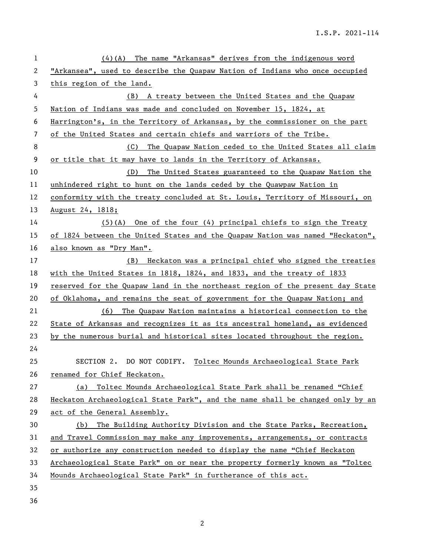| $\mathbf{1}$             | $(4)(A)$ The name "Arkansas" derives from the indigenous word                 |  |  |  |  |
|--------------------------|-------------------------------------------------------------------------------|--|--|--|--|
| 2                        | "Arkansea", used to describe the Quapaw Nation of Indians who once occupied   |  |  |  |  |
| 3                        | this region of the land.                                                      |  |  |  |  |
| 4                        | (B) A treaty between the United States and the Quapaw                         |  |  |  |  |
| 5                        | Nation of Indians was made and concluded on November 15, 1824, at             |  |  |  |  |
| 6                        | Harrington's, in the Territory of Arkansas, by the commissioner on the part   |  |  |  |  |
| $\overline{\phantom{a}}$ | of the United States and certain chiefs and warriors of the Tribe.            |  |  |  |  |
| 8                        | The Quapaw Nation ceded to the United States all claim<br>(C)                 |  |  |  |  |
| 9                        | or title that it may have to lands in the Territory of Arkansas.              |  |  |  |  |
| 10                       | (D)<br>The United States guaranteed to the Quapaw Nation the                  |  |  |  |  |
| 11                       | unhindered right to hunt on the lands ceded by the Quawpaw Nation in          |  |  |  |  |
| 12                       | conformity with the treaty concluded at St. Louis, Territory of Missouri, on  |  |  |  |  |
| 13                       | <u>August 24, 1818;</u>                                                       |  |  |  |  |
| 14                       | $(5)(A)$ One of the four $(4)$ principal chiefs to sign the Treaty            |  |  |  |  |
| 15                       | of 1824 between the United States and the Quapaw Nation was named "Heckaton", |  |  |  |  |
| 16                       | also known as "Dry Man".                                                      |  |  |  |  |
| 17                       | (B) Heckaton was a principal chief who signed the treaties                    |  |  |  |  |
| 18                       | with the United States in 1818, 1824, and 1833, and the treaty of 1833        |  |  |  |  |
| 19                       | reserved for the Quapaw land in the northeast region of the present day State |  |  |  |  |
| 20                       | of Oklahoma, and remains the seat of government for the Quapaw Nation; and    |  |  |  |  |
| 21                       | The Quapaw Nation maintains a historical connection to the<br>(6)             |  |  |  |  |
| 22                       | State of Arkansas and recognizes it as its ancestral homeland, as evidenced   |  |  |  |  |
| 23                       | by the numerous burial and historical sites located throughout the region.    |  |  |  |  |
| 24                       |                                                                               |  |  |  |  |
| 25                       | SECTION 2. DO NOT CODIFY.<br>Toltec Mounds Archaeological State Park          |  |  |  |  |
| 26                       | renamed for Chief Heckaton.                                                   |  |  |  |  |
| 27                       | Toltec Mounds Archaeological State Park shall be renamed "Chief<br>(a)        |  |  |  |  |
| 28                       | Heckaton Archaeological State Park", and the name shall be changed only by an |  |  |  |  |
| 29                       | act of the General Assembly.                                                  |  |  |  |  |
| 30                       | The Building Authority Division and the State Parks, Recreation,<br>(b)       |  |  |  |  |
| 31                       | and Travel Commission may make any improvements, arrangements, or contracts   |  |  |  |  |
| 32                       | or authorize any construction needed to display the name "Chief Heckaton      |  |  |  |  |
| 33                       | Archaeological State Park" on or near the property formerly known as "Toltec  |  |  |  |  |
| 34                       | Mounds Archaeological State Park" in furtherance of this act.                 |  |  |  |  |
| 35                       |                                                                               |  |  |  |  |
| 36                       |                                                                               |  |  |  |  |